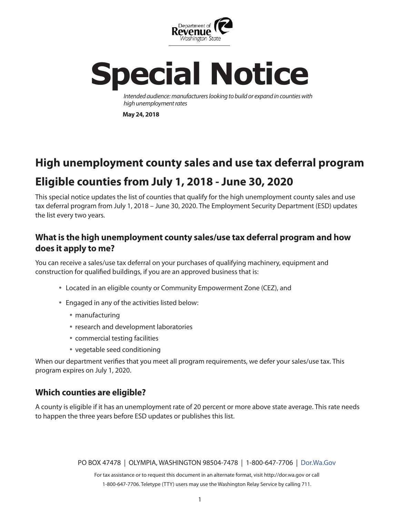

# **Special Notice**

*Intended audience: manufacturers looking to build or expand in counties with high unemployment rates*

**May 24, 2018**

# **High unemployment county sales and use tax deferral program Eligible counties from July 1, 2018 - June 30, 2020**

This special notice updates the list of counties that qualify for the high unemployment county sales and use tax deferral program from July 1, 2018 – June 30, 2020. The Employment Security Department (ESD) updates the list every two years.

### **What is the high unemployment county sales/use tax deferral program and how does it apply to me?**

You can receive a sales/use tax deferral on your purchases of qualifying machinery, equipment and construction for qualified buildings, if you are an approved business that is:

- Located in an eligible county or Community Empowerment Zone (CEZ), and
- Engaged in any of the activities listed below:
	- manufacturing
	- research and development laboratories
	- commercial testing facilities
	- vegetable seed conditioning

When our department verifies that you meet all program requirements, we defer your sales/use tax. This program expires on July 1, 2020.

### **Which counties are eligible?**

A county is eligible if it has an unemployment rate of 20 percent or more above state average. This rate needs to happen the three years before ESD updates or publishes this list.

PO BOX 47478 | OLYMPIA, WASHINGTON 98504-7478 | 1-800-647-7706 | [Dor.Wa.Gov](https://dor.wa.gov/)

For tax assistance or to request this document in an alternate format, visit http://dor.wa.gov or call 1-800-647-7706. Teletype (TTY) users may use the Washington Relay Service by calling 711.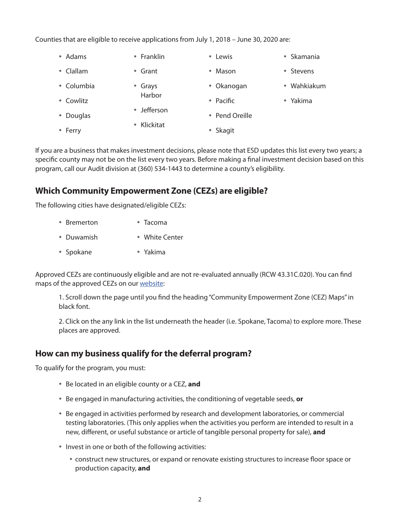Counties that are eligible to receive applications from July 1, 2018 – June 30, 2020 are:

| • Adams    | • Franklin  | • Lewis        | • Skamania  |
|------------|-------------|----------------|-------------|
| • Clallam  | • Grant     | • Mason        | • Stevens   |
| • Columbia | • Grays     | • Okanogan     | • Wahkiakum |
| • Cowlitz  | Harbor      | • Pacific      | • Yakima    |
| • Douglas  | • Jefferson | • Pend Oreille |             |
| • Ferry    | • Klickitat | • Skagit       |             |

If you are a business that makes investment decisions, please note that ESD updates this list every two years; a specific county may not be on the list every two years. Before making a final investment decision based on this program, call our Audit division at (360) 534-1443 to determine a county's eligibility.

### **Which Community Empowerment Zone (CEZs) are eligible?**

The following cities have designated/eligible CEZs:

| • Bremerton | $\bullet$ Tacoma |
|-------------|------------------|
| • Duwamish  | • White Center   |
| • Spokane   | $\bullet$ Yakima |

Approved CEZs are continuously eligible and are not re-evaluated annually (RCW 43.31C.020). You can find maps of the approved CEZs on our [website:](https://dor.wa.gov/find-taxes-rates/tax-incentives/incentive-programs)

1. Scroll down the page until you find the heading "Community Empowerment Zone (CEZ) Maps" in black font.

2. Click on the any link in the list underneath the header (i.e. Spokane, Tacoma) to explore more. These places are approved.

#### **How can my business qualify for the deferral program?**

To qualify for the program, you must:

- Be located in an eligible county or a CEZ, **and**
- Be engaged in manufacturing activities, the conditioning of vegetable seeds, **or**
- Be engaged in activities performed by research and development laboratories, or commercial testing laboratories. (This only applies when the activities you perform are intended to result in a new, different, or useful substance or article of tangible personal property for sale), **and**
- Invest in one or both of the following activities:
	- construct new structures, or expand or renovate existing structures to increase floor space or production capacity, **and**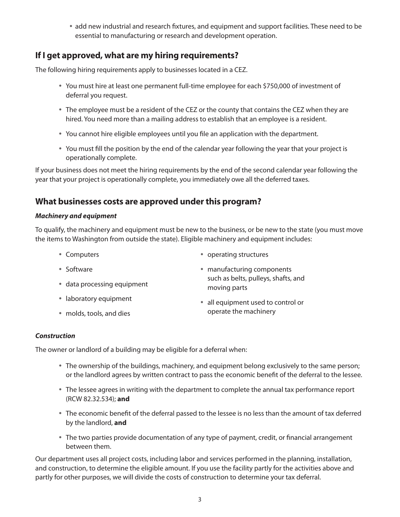add new industrial and research fixtures, and equipment and support facilities. These need to be essential to manufacturing or research and development operation.

## **If I get approved, what are my hiring requirements?**

The following hiring requirements apply to businesses located in a CEZ.

- You must hire at least one permanent full-time employee for each \$750,000 of investment of deferral you request.
- The employee must be a resident of the CEZ or the county that contains the CEZ when they are hired. You need more than a mailing address to establish that an employee is a resident.
- You cannot hire eligible employees until you file an application with the department.
- You must fill the position by the end of the calendar year following the year that your project is operationally complete.

If your business does not meet the hiring requirements by the end of the second calendar year following the year that your project is operationally complete, you immediately owe all the deferred taxes.

### **What businesses costs are approved under this program?**

#### *Machinery and equipment*

To qualify, the machinery and equipment must be new to the business, or be new to the state (you must move the items to Washington from outside the state). Eligible machinery and equipment includes:

- Computers
- 

- Software
- data processing equipment
- laboratory equipment
- molds, tools, and dies
- operating structures
- manufacturing components such as belts, pulleys, shafts, and moving parts
- all equipment used to control or operate the machinery

#### *Construction*

The owner or landlord of a building may be eligible for a deferral when:

- The ownership of the buildings, machinery, and equipment belong exclusively to the same person; or the landlord agrees by written contract to pass the economic benefit of the deferral to the lessee.
- The lessee agrees in writing with the department to complete the annual tax performance report (RCW 82.32.534); **and**
- The economic benefit of the deferral passed to the lessee is no less than the amount of tax deferred by the landlord, **and**
- The two parties provide documentation of any type of payment, credit, or financial arrangement between them.

Our department uses all project costs, including labor and services performed in the planning, installation, and construction, to determine the eligible amount. If you use the facility partly for the activities above and partly for other purposes, we will divide the costs of construction to determine your tax deferral.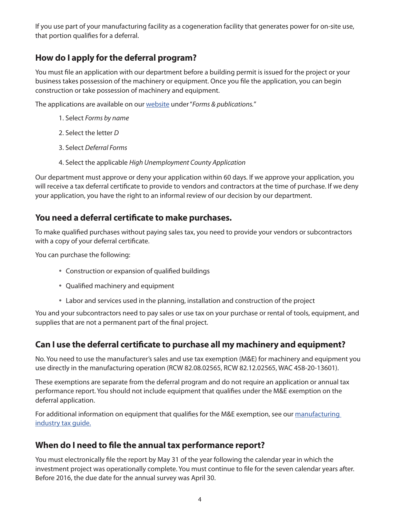If you use part of your manufacturing facility as a cogeneration facility that generates power for on-site use, that portion qualifies for a deferral.

# **How do I apply for the deferral program?**

You must file an application with our department before a building permit is issued for the project or your business takes possession of the machinery or equipment. Once you file the application, you can begin construction or take possession of machinery and equipment.

The applications are available on our [website](https://dor.wa.gov/) under "*Forms & publications.*"

- 1. Select *Forms by name*
- 2. Select the letter *D*
- 3. Select *Deferral Forms*
- 4. Select the applicable *High Unemployment County Application*

Our department must approve or deny your application within 60 days. If we approve your application, you will receive a tax deferral certificate to provide to vendors and contractors at the time of purchase. If we deny your application, you have the right to an informal review of our decision by our department.

### **You need a deferral certificate to make purchases.**

To make qualified purchases without paying sales tax, you need to provide your vendors or subcontractors with a copy of your deferral certificate.

You can purchase the following:

- Construction or expansion of qualified buildings
- Qualified machinery and equipment
- Labor and services used in the planning, installation and construction of the project

You and your subcontractors need to pay sales or use tax on your purchase or rental of tools, equipment, and supplies that are not a permanent part of the final project.

#### **Can I use the deferral certificate to purchase all my machinery and equipment?**

No. You need to use the manufacturer's sales and use tax exemption (M&E) for machinery and equipment you use directly in the manufacturing operation (RCW 82.08.02565, RCW 82.12.02565, WAC 458-20-13601).

These exemptions are separate from the deferral program and do not require an application or annual tax performance report. You should not include equipment that qualifies under the M&E exemption on the deferral application.

For additional information on equipment that qualifies for the M&E exemption, see our manufacturing [industry tax guide.](https://dor.wa.gov/doing-business/business-types/industry-guides/manufacturing-guide)

#### **When do I need to file the annual tax performance report?**

You must electronically file the report by May 31 of the year following the calendar year in which the investment project was operationally complete. You must continue to file for the seven calendar years after. Before 2016, the due date for the annual survey was April 30.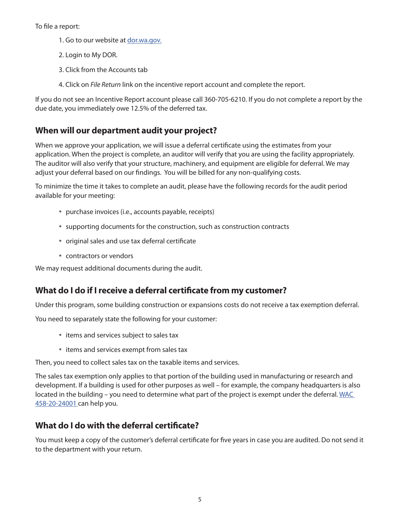#### To file a report:

- 1. Go to our website at [dor.wa.gov.](https://dor.wa.gov/)
- 2. Login to My DOR.
- 3. Click from the Accounts tab
- 4. Click on *File Return* link on the incentive report account and complete the report.

If you do not see an Incentive Report account please call 360-705-6210. If you do not complete a report by the due date, you immediately owe 12.5% of the deferred tax.

#### **When will our department audit your project?**

When we approve your application, we will issue a deferral certificate using the estimates from your application. When the project is complete, an auditor will verify that you are using the facility appropriately. The auditor will also verify that your structure, machinery, and equipment are eligible for deferral. We may adjust your deferral based on our findings. You will be billed for any non-qualifying costs.

To minimize the time it takes to complete an audit, please have the following records for the audit period available for your meeting:

- purchase invoices (i.e., accounts payable, receipts)
- supporting documents for the construction, such as construction contracts
- original sales and use tax deferral certificate
- contractors or vendors

We may request additional documents during the audit.

#### **What do I do if I receive a deferral certificate from my customer?**

Under this program, some building construction or expansions costs do not receive a tax exemption deferral.

You need to separately state the following for your customer:

- items and services subject to sales tax
- items and services exempt from sales tax

Then, you need to collect sales tax on the taxable items and services.

The sales tax exemption only applies to that portion of the building used in manufacturing or research and development. If a building is used for other purposes as well – for example, the company headquarters is also located in the building – you need to determine what part of the project is exempt under the deferral. WAC [458-20-24001 c](http://apps.leg.wa.gov/WAC/default.aspx?cite=458-20-24001)an help you.

#### **What do I do with the deferral certificate?**

You must keep a copy of the customer's deferral certificate for five years in case you are audited. Do not send it to the department with your return.